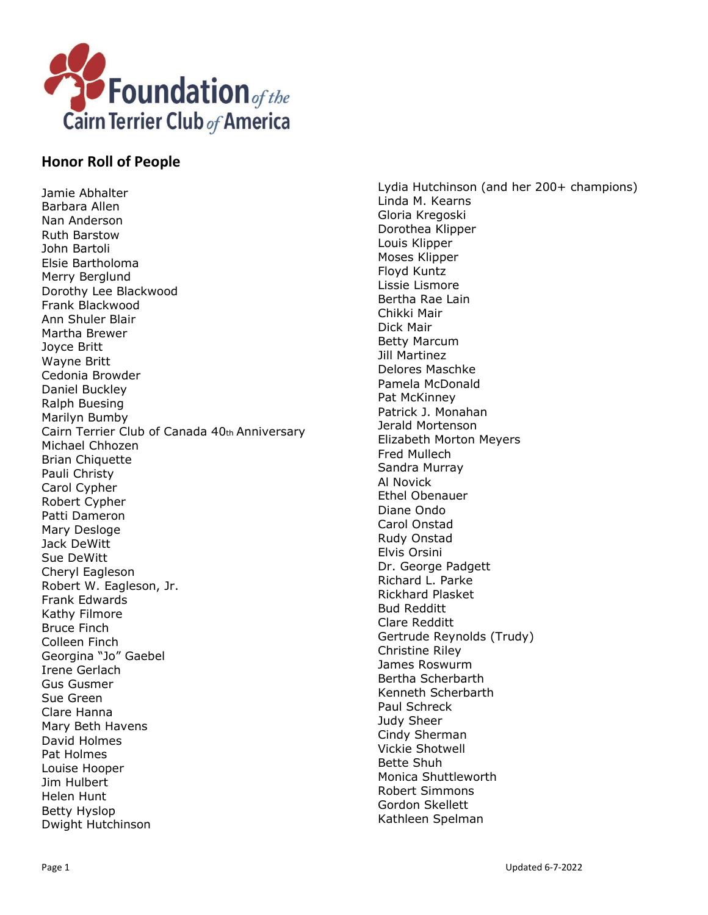

## **Honor Roll of People**

Jamie Abhalter Barbara Allen Nan Anderson Ruth Barstow John Bartoli Elsie Bartholoma Merry Berglund Dorothy Lee Blackwood Frank Blackwood Ann Shuler Blair Martha Brewer Joyce Britt Wayne Britt Cedonia Browder Daniel Buckley Ralph Buesing Marilyn Bumby Cairn Terrier Club of Canada 40th Anniversary Michael Chhozen Brian Chiquette Pauli Christy Carol Cypher Robert Cypher Patti Dameron Mary Desloge Jack DeWitt Sue DeWitt Cheryl Eagleson Robert W. Eagleson, Jr. Frank Edwards Kathy Filmore Bruce Finch Colleen Finch Georgina "Jo" Gaebel Irene Gerlach Gus Gusmer Sue Green Clare Hanna Mary Beth Havens David Holmes Pat Holmes Louise Hooper Jim Hulbert Helen Hunt Betty Hyslop Dwight Hutchinson

Lydia Hutchinson (and her 200+ champions) Linda M. Kearns Gloria Kregoski Dorothea Klipper Louis Klipper Moses Klipper Floyd Kuntz Lissie Lismore Bertha Rae Lain Chikki Mair Dick Mair Betty Marcum Jill Martinez Delores Maschke Pamela McDonald Pat McKinney Patrick J. Monahan Jerald Mortenson Elizabeth Morton Meyers Fred Mullech Sandra Murray Al Novick Ethel Obenauer Diane Ondo Carol Onstad Rudy Onstad Elvis Orsini Dr. George Padgett Richard L. Parke Rickhard Plasket Bud Redditt Clare Redditt Gertrude Reynolds (Trudy) Christine Riley James Roswurm Bertha Scherbarth Kenneth Scherbarth Paul Schreck Judy Sheer Cindy Sherman Vickie Shotwell Bette Shuh Monica Shuttleworth Robert Simmons Gordon Skellett Kathleen Spelman